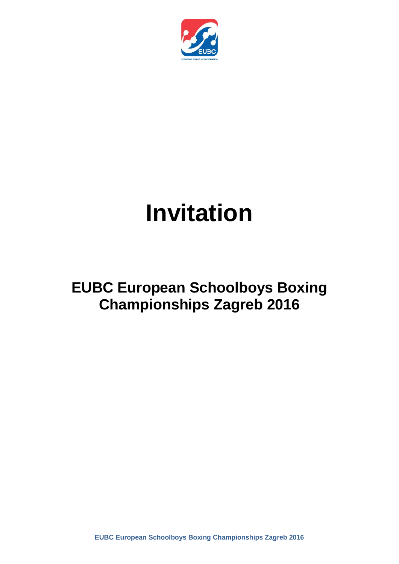

# **Invitation**

# **EUBC European Schoolboys Boxing Championships Zagreb 2016**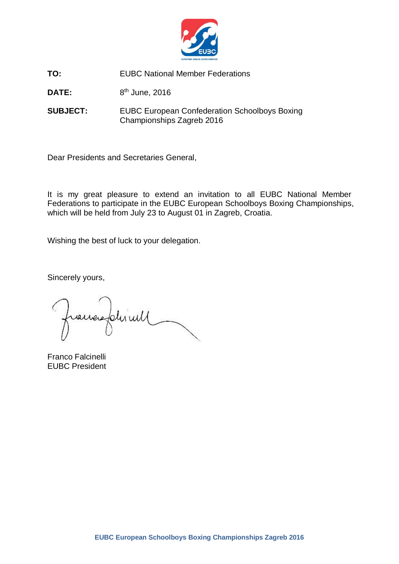

**TO:** EUBC National Member Federations

DATE: 8<sup>th</sup> June, 2016

**SUBJECT:** EUBC European Confederation Schoolboys Boxing Championships Zagreb 2016

Dear Presidents and Secretaries General,

It is my great pleasure to extend an invitation to all EUBC National Member Federations to participate in the EUBC European Schoolboys Boxing Championships, which will be held from July 23 to August 01 in Zagreb, Croatia.

Wishing the best of luck to your delegation.

Sincerely yours,

raines plusied

Franco Falcinelli EUBC President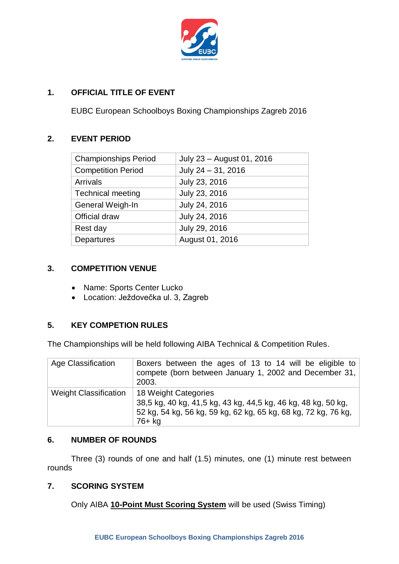

# **1. OFFICIAL TITLE OF EVENT**

EUBC European Schoolboys Boxing Championships Zagreb 2016

# **2. EVENT PERIOD**

| <b>Championships Period</b> | July 23 - August 01, 2016 |
|-----------------------------|---------------------------|
| <b>Competition Period</b>   | July 24 - 31, 2016        |
| <b>Arrivals</b>             | July 23, 2016             |
| <b>Technical meeting</b>    | July 23, 2016             |
| General Weigh-In            | July 24, 2016             |
| Official draw               | July 24, 2016             |
| Rest day                    | July 29, 2016             |
| Departures                  | August 01, 2016           |
|                             |                           |

# **3. COMPETITION VENUE**

- Name: Sports Center Lucko
- Location: Ježdovečka ul. 3, Zagreb

# **5. KEY COMPETION RULES**

The Championships will be held following AIBA Technical & Competition Rules.

| Age Classification           | Boxers between the ages of 13 to 14 will be eligible to<br>compete (born between January 1, 2002 and December 31,<br>2003.                                        |
|------------------------------|-------------------------------------------------------------------------------------------------------------------------------------------------------------------|
| <b>Weight Classification</b> | 18 Weight Categories<br>38,5 kg, 40 kg, 41,5 kg, 43 kg, 44,5 kg, 46 kg, 48 kg, 50 kg,<br>52 kg, 54 kg, 56 kg, 59 kg, 62 kg, 65 kg, 68 kg, 72 kg, 76 kg,<br>76+ kg |

# **6. NUMBER OF ROUNDS**

Three (3) rounds of one and half (1.5) minutes, one (1) minute rest between rounds

# **7. SCORING SYSTEM**

Only AIBA **10-Point Must Scoring System** will be used (Swiss Timing)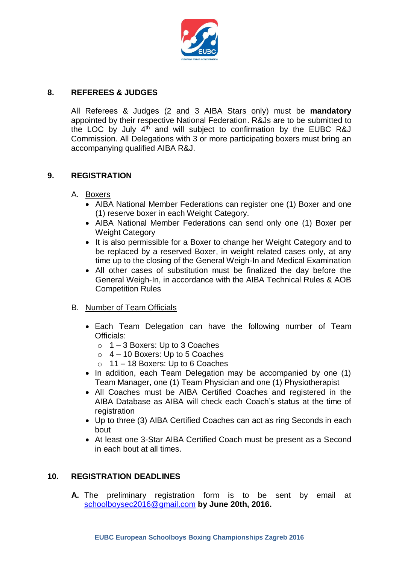

# **8. REFEREES & JUDGES**

All Referees & Judges (2 and 3 AIBA Stars only) must be **mandatory**  appointed by their respective National Federation. R&Js are to be submitted to the LOC by July  $4<sup>th</sup>$  and will subject to confirmation by the EUBC R&J Commission. All Delegations with 3 or more participating boxers must bring an accompanying qualified AIBA R&J.

# **9. REGISTRATION**

#### A. Boxers

- AIBA National Member Federations can register one (1) Boxer and one (1) reserve boxer in each Weight Category.
- AIBA National Member Federations can send only one (1) Boxer per Weight Category
- It is also permissible for a Boxer to change her Weight Category and to be replaced by a reserved Boxer, in weight related cases only, at any time up to the closing of the General Weigh-In and Medical Examination
- All other cases of substitution must be finalized the day before the General Weigh-In, in accordance with the AIBA Technical Rules & AOB Competition Rules

#### B. Number of Team Officials

- Each Team Delegation can have the following number of Team Officials:
	- $\circ$  1 3 Boxers: Up to 3 Coaches
	- $\circ$  4 10 Boxers: Up to 5 Coaches
	- $\circ$  11 18 Boxers: Up to 6 Coaches
- In addition, each Team Delegation may be accompanied by one (1) Team Manager, one (1) Team Physician and one (1) Physiotherapist
- All Coaches must be AIBA Certified Coaches and registered in the AIBA Database as AIBA will check each Coach's status at the time of registration
- Up to three (3) AIBA Certified Coaches can act as ring Seconds in each bout
- At least one 3-Star AIBA Certified Coach must be present as a Second in each bout at all times.

#### **10. REGISTRATION DEADLINES**

**A.** The preliminary registration form is to be sent by email at schoolboysec2016@gmail.com **by June 20th, 2016.**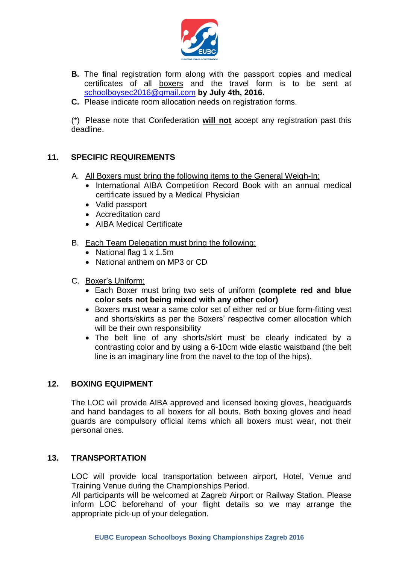

- **B.** The final registration form along with the passport copies and medical certificates of all boxers and the travel form is to be sent at schoolboysec2016@gmail.com **by July 4th, 2016.**
- **C.** Please indicate room allocation needs on registration forms.

(\*) Please note that Confederation **will not** accept any registration past this deadline.

# **11. SPECIFIC REQUIREMENTS**

- A. All Boxers must bring the following items to the General Weigh-In:
	- International AIBA Competition Record Book with an annual medical certificate issued by a Medical Physician
	- Valid passport
	- Accreditation card
	- AIBA Medical Certificate
- B. Each Team Delegation must bring the following:
	- National flag 1 x 1.5m
	- National anthem on MP3 or CD
- C. Boxer's Uniform:
	- Each Boxer must bring two sets of uniform **(complete red and blue color sets not being mixed with any other color)**
	- Boxers must wear a same color set of either red or blue form-fitting vest and shorts/skirts as per the Boxers' respective corner allocation which will be their own responsibility
	- The belt line of any shorts/skirt must be clearly indicated by a contrasting color and by using a 6-10cm wide elastic waistband (the belt line is an imaginary line from the navel to the top of the hips).

# **12. BOXING EQUIPMENT**

The LOC will provide AIBA approved and licensed boxing gloves, headguards and hand bandages to all boxers for all bouts. Both boxing gloves and head guards are compulsory official items which all boxers must wear, not their personal ones.

#### **13. TRANSPORTATION**

LOC will provide local transportation between airport, Hotel, Venue and Training Venue during the Championships Period.

All participants will be welcomed at Zagreb Airport or Railway Station. Please inform LOC beforehand of your flight details so we may arrange the appropriate pick-up of your delegation.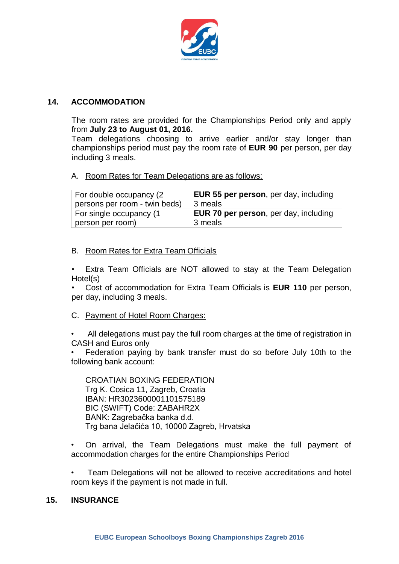

### **14. ACCOMMODATION**

The room rates are provided for the Championships Period only and apply from **July 23 to August 01, 2016.**

Team delegations choosing to arrive earlier and/or stay longer than championships period must pay the room rate of **EUR 90** per person, per day including 3 meals.

# A. Room Rates for Team Delegations are as follows:

| For double occupancy (2       | <b>EUR 55 per person, per day, including</b> |
|-------------------------------|----------------------------------------------|
| persons per room - twin beds) | 3 meals                                      |
| For single occupancy (1       | <b>EUR 70 per person, per day, including</b> |
| person per room)              | 3 meals                                      |

#### B. Room Rates for Extra Team Officials

Extra Team Officials are NOT allowed to stay at the Team Delegation Hotel(s)

• Cost of accommodation for Extra Team Officials is **EUR 110** per person, per day, including 3 meals.

- C. Payment of Hotel Room Charges:
- All delegations must pay the full room charges at the time of registration in CASH and Euros only

• Federation paying by bank transfer must do so before July 10th to the following bank account:

CROATIAN BOXING FEDERATION Trg K. Cosica 11, Zagreb, Croatia IBAN: HR3023600001101575189 BIC (SWIFT) Code: ZABAHR2X BANK: Zagrebačka banka d.d. Trg bana Jelačića 10, 10000 Zagreb, Hrvatska

• On arrival, the Team Delegations must make the full payment of accommodation charges for the entire Championships Period

• Team Delegations will not be allowed to receive accreditations and hotel room keys if the payment is not made in full.

#### **15. INSURANCE**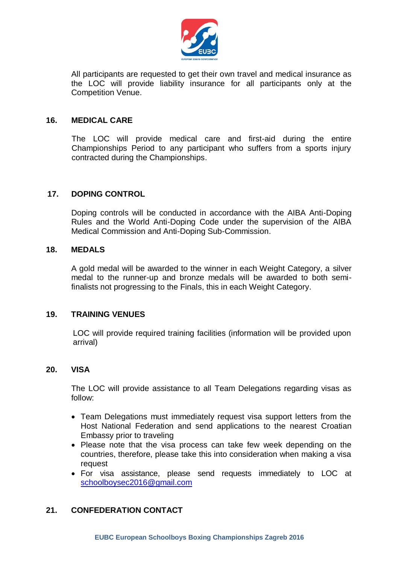

All participants are requested to get their own travel and medical insurance as the LOC will provide liability insurance for all participants only at the Competition Venue.

#### **16. MEDICAL CARE**

The LOC will provide medical care and first-aid during the entire Championships Period to any participant who suffers from a sports injury contracted during the Championships.

# **17. DOPING CONTROL**

Doping controls will be conducted in accordance with the AIBA Anti-Doping Rules and the World Anti-Doping Code under the supervision of the AIBA Medical Commission and Anti-Doping Sub-Commission.

#### **18. MEDALS**

A gold medal will be awarded to the winner in each Weight Category, a silver medal to the runner-up and bronze medals will be awarded to both semifinalists not progressing to the Finals, this in each Weight Category.

#### **19. TRAINING VENUES**

LOC will provide required training facilities (information will be provided upon arrival)

#### **20. VISA**

The LOC will provide assistance to all Team Delegations regarding visas as follow:

- Team Delegations must immediately request visa support letters from the Host National Federation and send applications to the nearest Croatian Embassy prior to traveling
- Please note that the visa process can take few week depending on the countries, therefore, please take this into consideration when making a visa request
- For visa assistance, please send requests immediately to LOC at schoolboysec2016@gmail.com

# **21. CONFEDERATION CONTACT**